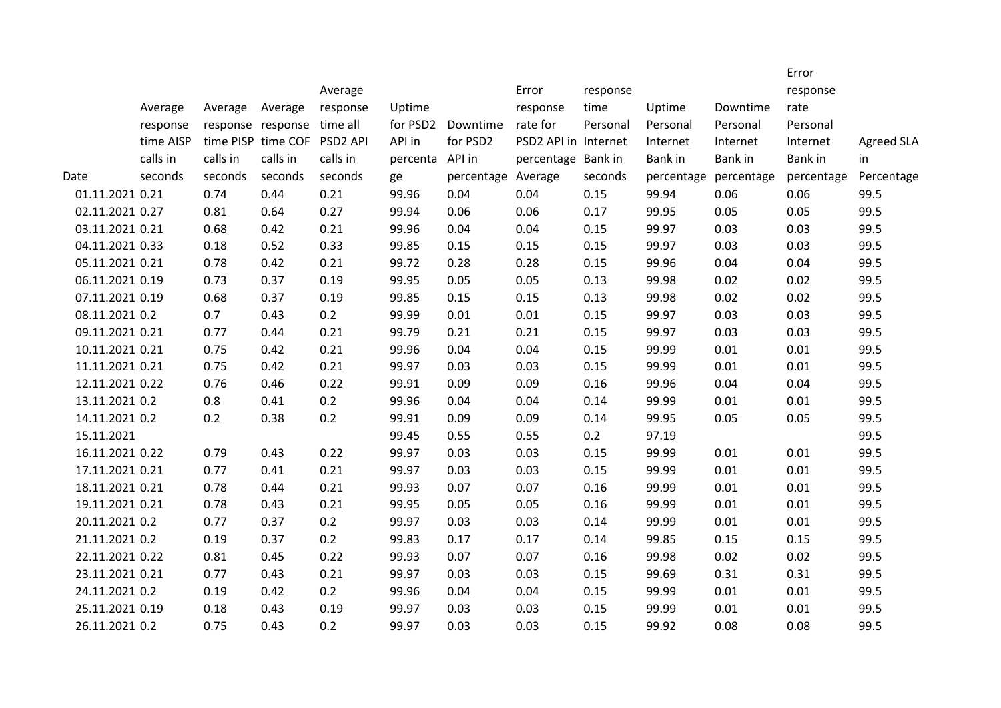|                 |           |                   |                    | Average              |          |            | Error                | response |            |            | Error<br>response |                   |
|-----------------|-----------|-------------------|--------------------|----------------------|----------|------------|----------------------|----------|------------|------------|-------------------|-------------------|
|                 | Average   | Average           | Average            | response             | Uptime   |            | response             | time     | Uptime     | Downtime   | rate              |                   |
|                 | response  | response response |                    | time all             | for PSD2 | Downtime   | rate for             | Personal | Personal   | Personal   | Personal          |                   |
|                 | time AISP |                   | time PISP time COF | PSD <sub>2</sub> API | API in   | for PSD2   | PSD2 API in Internet |          | Internet   | Internet   | Internet          | <b>Agreed SLA</b> |
|                 | calls in  | calls in          | calls in           | calls in             | percenta | API in     | percentage Bank in   |          | Bank in    | Bank in    | Bank in           | in                |
| Date            | seconds   | seconds           | seconds            | seconds              | ge       | percentage | Average              | seconds  | percentage | percentage | percentage        | Percentage        |
| 01.11.2021 0.21 |           | 0.74              | 0.44               | 0.21                 | 99.96    | 0.04       | 0.04                 | 0.15     | 99.94      | 0.06       | 0.06              | 99.5              |
| 02.11.2021 0.27 |           | 0.81              | 0.64               | 0.27                 | 99.94    | 0.06       | 0.06                 | 0.17     | 99.95      | 0.05       | 0.05              | 99.5              |
| 03.11.2021 0.21 |           | 0.68              | 0.42               | 0.21                 | 99.96    | 0.04       | 0.04                 | 0.15     | 99.97      | 0.03       | 0.03              | 99.5              |
| 04.11.2021 0.33 |           | 0.18              | 0.52               | 0.33                 | 99.85    | 0.15       | 0.15                 | 0.15     | 99.97      | 0.03       | 0.03              | 99.5              |
| 05.11.2021 0.21 |           | 0.78              | 0.42               | 0.21                 | 99.72    | 0.28       | 0.28                 | 0.15     | 99.96      | 0.04       | 0.04              | 99.5              |
| 06.11.2021 0.19 |           | 0.73              | 0.37               | 0.19                 | 99.95    | 0.05       | 0.05                 | 0.13     | 99.98      | 0.02       | 0.02              | 99.5              |
| 07.11.2021 0.19 |           | 0.68              | 0.37               | 0.19                 | 99.85    | 0.15       | 0.15                 | 0.13     | 99.98      | 0.02       | 0.02              | 99.5              |
| 08.11.2021 0.2  |           | 0.7               | 0.43               | 0.2                  | 99.99    | 0.01       | 0.01                 | 0.15     | 99.97      | 0.03       | 0.03              | 99.5              |
| 09.11.2021 0.21 |           | 0.77              | 0.44               | 0.21                 | 99.79    | 0.21       | 0.21                 | 0.15     | 99.97      | 0.03       | 0.03              | 99.5              |
| 10.11.2021 0.21 |           | 0.75              | 0.42               | 0.21                 | 99.96    | 0.04       | 0.04                 | 0.15     | 99.99      | 0.01       | 0.01              | 99.5              |
| 11.11.2021 0.21 |           | 0.75              | 0.42               | 0.21                 | 99.97    | 0.03       | 0.03                 | 0.15     | 99.99      | 0.01       | 0.01              | 99.5              |
| 12.11.2021 0.22 |           | 0.76              | 0.46               | 0.22                 | 99.91    | 0.09       | 0.09                 | 0.16     | 99.96      | 0.04       | 0.04              | 99.5              |
| 13.11.2021 0.2  |           | 0.8               | 0.41               | 0.2                  | 99.96    | 0.04       | 0.04                 | 0.14     | 99.99      | 0.01       | 0.01              | 99.5              |
| 14.11.2021 0.2  |           | 0.2               | 0.38               | 0.2                  | 99.91    | 0.09       | 0.09                 | 0.14     | 99.95      | 0.05       | 0.05              | 99.5              |
| 15.11.2021      |           |                   |                    |                      | 99.45    | 0.55       | 0.55                 | 0.2      | 97.19      |            |                   | 99.5              |
| 16.11.2021 0.22 |           | 0.79              | 0.43               | 0.22                 | 99.97    | 0.03       | 0.03                 | 0.15     | 99.99      | 0.01       | 0.01              | 99.5              |
| 17.11.2021 0.21 |           | 0.77              | 0.41               | 0.21                 | 99.97    | 0.03       | 0.03                 | 0.15     | 99.99      | 0.01       | 0.01              | 99.5              |
| 18.11.2021 0.21 |           | 0.78              | 0.44               | 0.21                 | 99.93    | 0.07       | 0.07                 | 0.16     | 99.99      | 0.01       | 0.01              | 99.5              |
| 19.11.2021 0.21 |           | 0.78              | 0.43               | 0.21                 | 99.95    | 0.05       | 0.05                 | 0.16     | 99.99      | 0.01       | 0.01              | 99.5              |
| 20.11.2021 0.2  |           | 0.77              | 0.37               | 0.2                  | 99.97    | 0.03       | 0.03                 | 0.14     | 99.99      | 0.01       | 0.01              | 99.5              |
| 21.11.2021 0.2  |           | 0.19              | 0.37               | 0.2                  | 99.83    | 0.17       | 0.17                 | 0.14     | 99.85      | 0.15       | 0.15              | 99.5              |
| 22.11.2021 0.22 |           | 0.81              | 0.45               | 0.22                 | 99.93    | 0.07       | 0.07                 | 0.16     | 99.98      | 0.02       | 0.02              | 99.5              |
| 23.11.2021 0.21 |           | 0.77              | 0.43               | 0.21                 | 99.97    | 0.03       | 0.03                 | 0.15     | 99.69      | 0.31       | 0.31              | 99.5              |
| 24.11.2021 0.2  |           | 0.19              | 0.42               | 0.2                  | 99.96    | 0.04       | 0.04                 | 0.15     | 99.99      | 0.01       | 0.01              | 99.5              |
| 25.11.2021 0.19 |           | 0.18              | 0.43               | 0.19                 | 99.97    | 0.03       | 0.03                 | 0.15     | 99.99      | 0.01       | 0.01              | 99.5              |
| 26.11.2021 0.2  |           | 0.75              | 0.43               | 0.2                  | 99.97    | 0.03       | 0.03                 | 0.15     | 99.92      | 0.08       | 0.08              | 99.5              |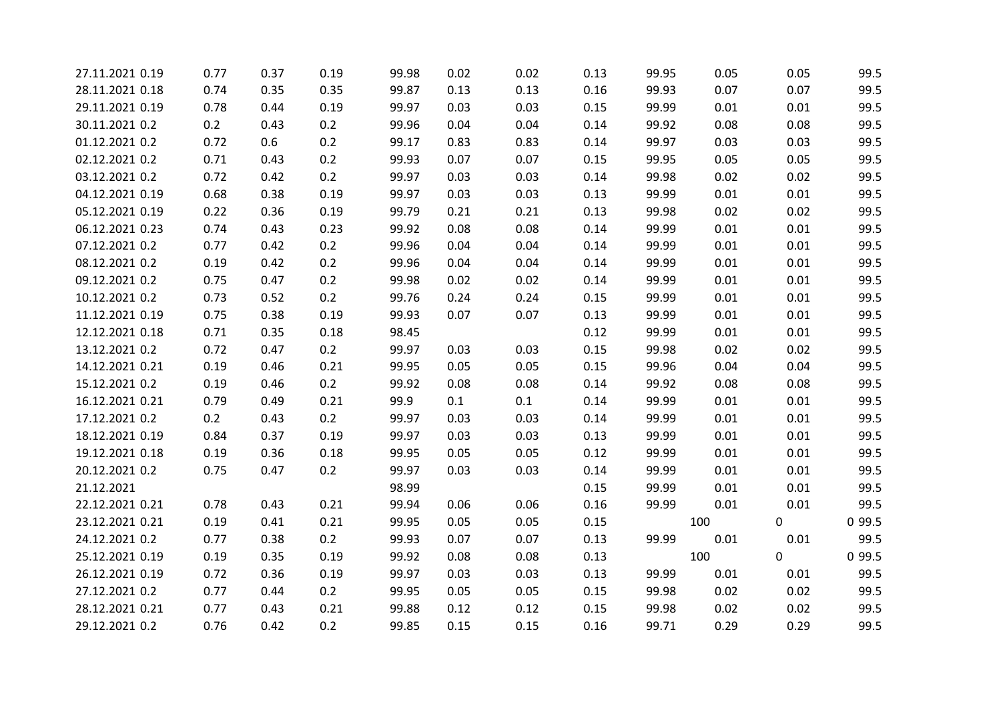| 27.11.2021 0.19 | 0.77 | 0.37 | 0.19 | 99.98 | 0.02 | 0.02 | 0.13 | 99.95 | 0.05 | 0.05 | 99.5   |
|-----------------|------|------|------|-------|------|------|------|-------|------|------|--------|
| 28.11.2021 0.18 | 0.74 | 0.35 | 0.35 | 99.87 | 0.13 | 0.13 | 0.16 | 99.93 | 0.07 | 0.07 | 99.5   |
| 29.11.2021 0.19 | 0.78 | 0.44 | 0.19 | 99.97 | 0.03 | 0.03 | 0.15 | 99.99 | 0.01 | 0.01 | 99.5   |
| 30.11.2021 0.2  | 0.2  | 0.43 | 0.2  | 99.96 | 0.04 | 0.04 | 0.14 | 99.92 | 0.08 | 0.08 | 99.5   |
| 01.12.2021 0.2  | 0.72 | 0.6  | 0.2  | 99.17 | 0.83 | 0.83 | 0.14 | 99.97 | 0.03 | 0.03 | 99.5   |
| 02.12.2021 0.2  | 0.71 | 0.43 | 0.2  | 99.93 | 0.07 | 0.07 | 0.15 | 99.95 | 0.05 | 0.05 | 99.5   |
| 03.12.2021 0.2  | 0.72 | 0.42 | 0.2  | 99.97 | 0.03 | 0.03 | 0.14 | 99.98 | 0.02 | 0.02 | 99.5   |
| 04.12.2021 0.19 | 0.68 | 0.38 | 0.19 | 99.97 | 0.03 | 0.03 | 0.13 | 99.99 | 0.01 | 0.01 | 99.5   |
| 05.12.2021 0.19 | 0.22 | 0.36 | 0.19 | 99.79 | 0.21 | 0.21 | 0.13 | 99.98 | 0.02 | 0.02 | 99.5   |
| 06.12.2021 0.23 | 0.74 | 0.43 | 0.23 | 99.92 | 0.08 | 0.08 | 0.14 | 99.99 | 0.01 | 0.01 | 99.5   |
| 07.12.2021 0.2  | 0.77 | 0.42 | 0.2  | 99.96 | 0.04 | 0.04 | 0.14 | 99.99 | 0.01 | 0.01 | 99.5   |
| 08.12.2021 0.2  | 0.19 | 0.42 | 0.2  | 99.96 | 0.04 | 0.04 | 0.14 | 99.99 | 0.01 | 0.01 | 99.5   |
| 09.12.2021 0.2  | 0.75 | 0.47 | 0.2  | 99.98 | 0.02 | 0.02 | 0.14 | 99.99 | 0.01 | 0.01 | 99.5   |
| 10.12.2021 0.2  | 0.73 | 0.52 | 0.2  | 99.76 | 0.24 | 0.24 | 0.15 | 99.99 | 0.01 | 0.01 | 99.5   |
| 11.12.2021 0.19 | 0.75 | 0.38 | 0.19 | 99.93 | 0.07 | 0.07 | 0.13 | 99.99 | 0.01 | 0.01 | 99.5   |
| 12.12.2021 0.18 | 0.71 | 0.35 | 0.18 | 98.45 |      |      | 0.12 | 99.99 | 0.01 | 0.01 | 99.5   |
| 13.12.2021 0.2  | 0.72 | 0.47 | 0.2  | 99.97 | 0.03 | 0.03 | 0.15 | 99.98 | 0.02 | 0.02 | 99.5   |
| 14.12.2021 0.21 | 0.19 | 0.46 | 0.21 | 99.95 | 0.05 | 0.05 | 0.15 | 99.96 | 0.04 | 0.04 | 99.5   |
| 15.12.2021 0.2  | 0.19 | 0.46 | 0.2  | 99.92 | 0.08 | 0.08 | 0.14 | 99.92 | 0.08 | 0.08 | 99.5   |
| 16.12.2021 0.21 | 0.79 | 0.49 | 0.21 | 99.9  | 0.1  | 0.1  | 0.14 | 99.99 | 0.01 | 0.01 | 99.5   |
| 17.12.2021 0.2  | 0.2  | 0.43 | 0.2  | 99.97 | 0.03 | 0.03 | 0.14 | 99.99 | 0.01 | 0.01 | 99.5   |
| 18.12.2021 0.19 | 0.84 | 0.37 | 0.19 | 99.97 | 0.03 | 0.03 | 0.13 | 99.99 | 0.01 | 0.01 | 99.5   |
| 19.12.2021 0.18 | 0.19 | 0.36 | 0.18 | 99.95 | 0.05 | 0.05 | 0.12 | 99.99 | 0.01 | 0.01 | 99.5   |
| 20.12.2021 0.2  | 0.75 | 0.47 | 0.2  | 99.97 | 0.03 | 0.03 | 0.14 | 99.99 | 0.01 | 0.01 | 99.5   |
| 21.12.2021      |      |      |      | 98.99 |      |      | 0.15 | 99.99 | 0.01 | 0.01 | 99.5   |
| 22.12.2021 0.21 | 0.78 | 0.43 | 0.21 | 99.94 | 0.06 | 0.06 | 0.16 | 99.99 | 0.01 | 0.01 | 99.5   |
| 23.12.2021 0.21 | 0.19 | 0.41 | 0.21 | 99.95 | 0.05 | 0.05 | 0.15 |       | 100  | 0    | 0 99.5 |
| 24.12.2021 0.2  | 0.77 | 0.38 | 0.2  | 99.93 | 0.07 | 0.07 | 0.13 | 99.99 | 0.01 | 0.01 | 99.5   |
| 25.12.2021 0.19 | 0.19 | 0.35 | 0.19 | 99.92 | 0.08 | 0.08 | 0.13 |       | 100  | 0    | 0 99.5 |
| 26.12.2021 0.19 | 0.72 | 0.36 | 0.19 | 99.97 | 0.03 | 0.03 | 0.13 | 99.99 | 0.01 | 0.01 | 99.5   |
| 27.12.2021 0.2  | 0.77 | 0.44 | 0.2  | 99.95 | 0.05 | 0.05 | 0.15 | 99.98 | 0.02 | 0.02 | 99.5   |
| 28.12.2021 0.21 | 0.77 | 0.43 | 0.21 | 99.88 | 0.12 | 0.12 | 0.15 | 99.98 | 0.02 | 0.02 | 99.5   |
| 29.12.2021 0.2  | 0.76 | 0.42 | 0.2  | 99.85 | 0.15 | 0.15 | 0.16 | 99.71 | 0.29 | 0.29 | 99.5   |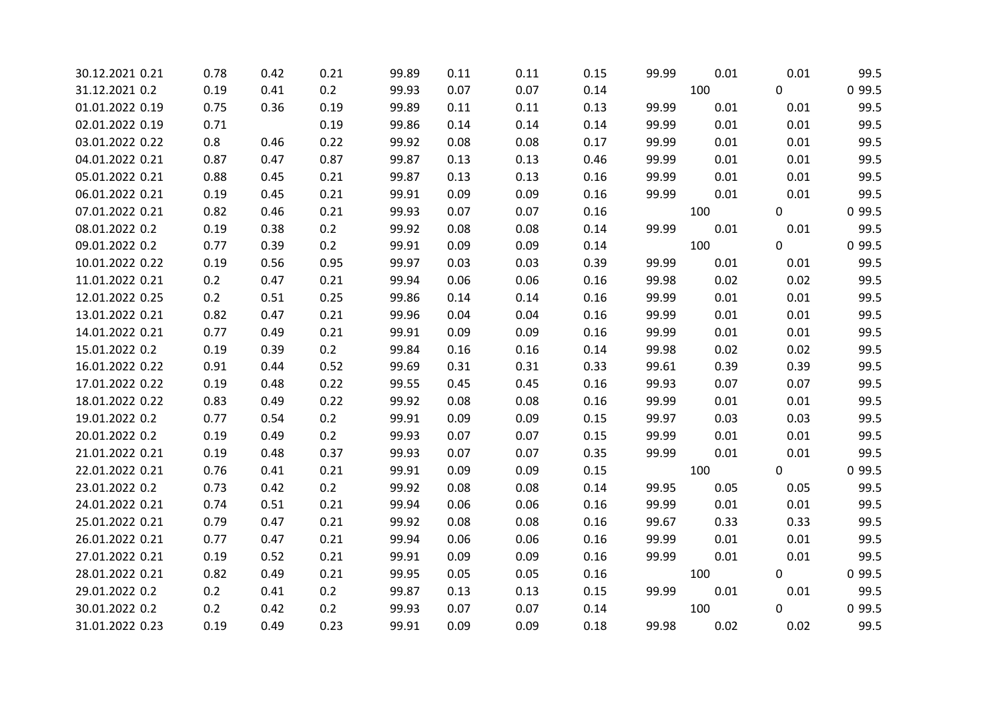| 30.12.2021 0.21 | 0.78 | 0.42 | 0.21 | 99.89 | 0.11 | 0.11 | 0.15 | 99.99 | 0.01 | 0.01 | 99.5   |
|-----------------|------|------|------|-------|------|------|------|-------|------|------|--------|
| 31.12.2021 0.2  | 0.19 | 0.41 | 0.2  | 99.93 | 0.07 | 0.07 | 0.14 |       | 100  | 0    | 0 99.5 |
| 01.01.2022 0.19 | 0.75 | 0.36 | 0.19 | 99.89 | 0.11 | 0.11 | 0.13 | 99.99 | 0.01 | 0.01 | 99.5   |
| 02.01.2022 0.19 | 0.71 |      | 0.19 | 99.86 | 0.14 | 0.14 | 0.14 | 99.99 | 0.01 | 0.01 | 99.5   |
| 03.01.2022 0.22 | 0.8  | 0.46 | 0.22 | 99.92 | 0.08 | 0.08 | 0.17 | 99.99 | 0.01 | 0.01 | 99.5   |
| 04.01.2022 0.21 | 0.87 | 0.47 | 0.87 | 99.87 | 0.13 | 0.13 | 0.46 | 99.99 | 0.01 | 0.01 | 99.5   |
| 05.01.2022 0.21 | 0.88 | 0.45 | 0.21 | 99.87 | 0.13 | 0.13 | 0.16 | 99.99 | 0.01 | 0.01 | 99.5   |
| 06.01.2022 0.21 | 0.19 | 0.45 | 0.21 | 99.91 | 0.09 | 0.09 | 0.16 | 99.99 | 0.01 | 0.01 | 99.5   |
| 07.01.2022 0.21 | 0.82 | 0.46 | 0.21 | 99.93 | 0.07 | 0.07 | 0.16 |       | 100  | 0    | 0 99.5 |
| 08.01.2022 0.2  | 0.19 | 0.38 | 0.2  | 99.92 | 0.08 | 0.08 | 0.14 | 99.99 | 0.01 | 0.01 | 99.5   |
| 09.01.2022 0.2  | 0.77 | 0.39 | 0.2  | 99.91 | 0.09 | 0.09 | 0.14 |       | 100  | 0    | 0 99.5 |
| 10.01.2022 0.22 | 0.19 | 0.56 | 0.95 | 99.97 | 0.03 | 0.03 | 0.39 | 99.99 | 0.01 | 0.01 | 99.5   |
| 11.01.2022 0.21 | 0.2  | 0.47 | 0.21 | 99.94 | 0.06 | 0.06 | 0.16 | 99.98 | 0.02 | 0.02 | 99.5   |
| 12.01.2022 0.25 | 0.2  | 0.51 | 0.25 | 99.86 | 0.14 | 0.14 | 0.16 | 99.99 | 0.01 | 0.01 | 99.5   |
| 13.01.2022 0.21 | 0.82 | 0.47 | 0.21 | 99.96 | 0.04 | 0.04 | 0.16 | 99.99 | 0.01 | 0.01 | 99.5   |
| 14.01.2022 0.21 | 0.77 | 0.49 | 0.21 | 99.91 | 0.09 | 0.09 | 0.16 | 99.99 | 0.01 | 0.01 | 99.5   |
| 15.01.2022 0.2  | 0.19 | 0.39 | 0.2  | 99.84 | 0.16 | 0.16 | 0.14 | 99.98 | 0.02 | 0.02 | 99.5   |
| 16.01.2022 0.22 | 0.91 | 0.44 | 0.52 | 99.69 | 0.31 | 0.31 | 0.33 | 99.61 | 0.39 | 0.39 | 99.5   |
| 17.01.2022 0.22 | 0.19 | 0.48 | 0.22 | 99.55 | 0.45 | 0.45 | 0.16 | 99.93 | 0.07 | 0.07 | 99.5   |
| 18.01.2022 0.22 | 0.83 | 0.49 | 0.22 | 99.92 | 0.08 | 0.08 | 0.16 | 99.99 | 0.01 | 0.01 | 99.5   |
| 19.01.2022 0.2  | 0.77 | 0.54 | 0.2  | 99.91 | 0.09 | 0.09 | 0.15 | 99.97 | 0.03 | 0.03 | 99.5   |
| 20.01.2022 0.2  | 0.19 | 0.49 | 0.2  | 99.93 | 0.07 | 0.07 | 0.15 | 99.99 | 0.01 | 0.01 | 99.5   |
| 21.01.2022 0.21 | 0.19 | 0.48 | 0.37 | 99.93 | 0.07 | 0.07 | 0.35 | 99.99 | 0.01 | 0.01 | 99.5   |
| 22.01.2022 0.21 | 0.76 | 0.41 | 0.21 | 99.91 | 0.09 | 0.09 | 0.15 |       | 100  | 0    | 0 99.5 |
| 23.01.2022 0.2  | 0.73 | 0.42 | 0.2  | 99.92 | 0.08 | 0.08 | 0.14 | 99.95 | 0.05 | 0.05 | 99.5   |
| 24.01.2022 0.21 | 0.74 | 0.51 | 0.21 | 99.94 | 0.06 | 0.06 | 0.16 | 99.99 | 0.01 | 0.01 | 99.5   |
| 25.01.2022 0.21 | 0.79 | 0.47 | 0.21 | 99.92 | 0.08 | 0.08 | 0.16 | 99.67 | 0.33 | 0.33 | 99.5   |
| 26.01.2022 0.21 | 0.77 | 0.47 | 0.21 | 99.94 | 0.06 | 0.06 | 0.16 | 99.99 | 0.01 | 0.01 | 99.5   |
| 27.01.2022 0.21 | 0.19 | 0.52 | 0.21 | 99.91 | 0.09 | 0.09 | 0.16 | 99.99 | 0.01 | 0.01 | 99.5   |
| 28.01.2022 0.21 | 0.82 | 0.49 | 0.21 | 99.95 | 0.05 | 0.05 | 0.16 |       | 100  | 0    | 0 99.5 |
| 29.01.2022 0.2  | 0.2  | 0.41 | 0.2  | 99.87 | 0.13 | 0.13 | 0.15 | 99.99 | 0.01 | 0.01 | 99.5   |
| 30.01.2022 0.2  | 0.2  | 0.42 | 0.2  | 99.93 | 0.07 | 0.07 | 0.14 |       | 100  | 0    | 0 99.5 |
| 31.01.2022 0.23 | 0.19 | 0.49 | 0.23 | 99.91 | 0.09 | 0.09 | 0.18 | 99.98 | 0.02 | 0.02 | 99.5   |